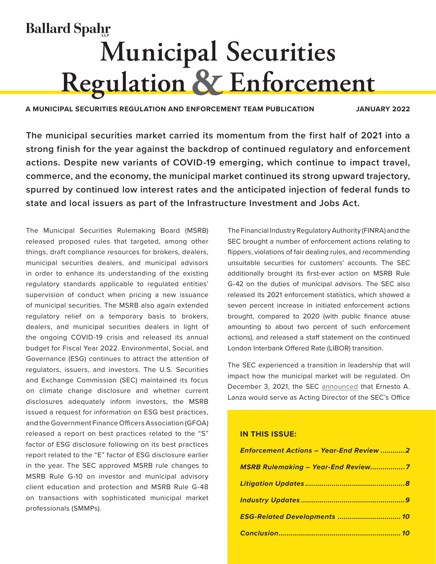# **Ballard Spahr Municipal Securities Regulation & Enforcement**

**A MUNICIPAL SECURITIES REGULATION AND ENFORCEMENT TEAM PUBLICATION JANUARY 2022**

**The municipal securities market carried its momentum from the first half of 2021 into a strong finish for the year against the backdrop of continued regulatory and enforcement actions. Despite new variants of COVID-19 emerging, which continue to impact travel, commerce, and the economy, the municipal market continued its strong upward trajectory, spurred by continued low interest rates and the anticipated injection of federal funds to state and local issuers as part of the Infrastructure Investment and Jobs Act.**

The Municipal Securities Rulemaking Board (MSRB) released proposed rules that targeted, among other things, draft compliance resources for brokers, dealers, municipal securities dealers, and municipal advisors in order to enhance its understanding of the existing regulatory standards applicable to regulated entities' supervision of conduct when pricing a new issuance of municipal securities. The MSRB also again extended regulatory relief on a temporary basis to brokers, dealers, and municipal securities dealers in light of the ongoing COVID-19 crisis and released its annual budget for Fiscal Year 2022. Environmental, Social, and Governance (ESG) continues to attract the attention of regulators, issuers, and investors. The U.S. Securities and Exchange Commission (SEC) maintained its focus on climate change disclosure and whether current disclosures adequately inform investors, the MSRB issued a request for information on ESG best practices, and the Government Finance Officers Association (GFOA) released a report on best practices related to the "S" factor of ESG disclosure following on its best practices report related to the "E" factor of ESG disclosure earlier in the year. The SEC approved MSRB rule changes to MSRB Rule G-10 on investor and municipal advisory client education and protection and MSRB Rule G-48 on transactions with sophisticated municipal market professionals (SMMPs).

The Financial Industry Regulatory Authority (FINRA) and the SEC brought a number of enforcement actions relating to flippers, violations of fair dealing rules, and recommending unsuitable securities for customers' accounts. The SEC additionally brought its first-ever action on MSRB Rule G-42 on the duties of municipal advisors. The SEC also released its 2021 enforcement statistics, which showed a seven percent increase in initiated enforcement actions brought, compared to 2020 (with public finance abuse amounting to about two percent of such enforcement actions), and released a staff statement on the continued London Interbank Offered Rate (LIBOR) transition.

The SEC experienced a transition in leadership that will impact how the municipal market will be regulated. On December 3, 2021, the SEC [announced](https://www.sec.gov/news/press-release/2021-251?utm_medium=email&utm_source=govdelivery) that Ernesto A. Lanza would serve as Acting Director of the SEC's Office

## **IN THIS ISSUE:**

| <b>Enforcement Actions - Year-End Review 2</b> |
|------------------------------------------------|
| <b>MSRB Rulemaking - Year-End Review7</b>      |
|                                                |
|                                                |
| ESG-Related Developments  10                   |
|                                                |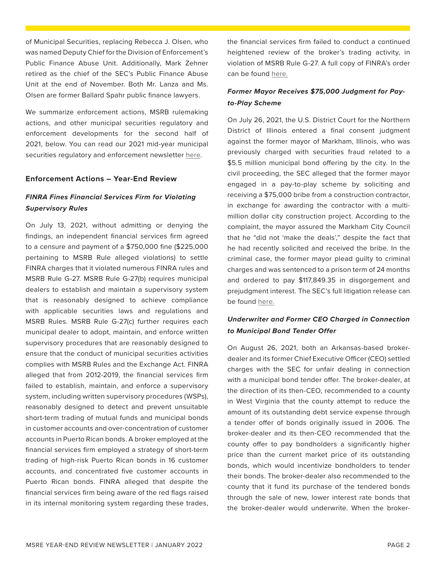<span id="page-1-0"></span>of Municipal Securities, replacing Rebecca J. Olsen, who was named Deputy Chief for the Division of Enforcement's Public Finance Abuse Unit. Additionally, Mark Zehner retired as the chief of the SEC's Public Finance Abuse Unit at the end of November. Both Mr. Lanza and Ms. Olsen are former Ballard Spahr public finance lawyers.

We summarize enforcement actions, MSRB rulemaking actions, and other municipal securities regulatory and enforcement developments for the second half of 2021, below. You can read our 2021 mid-year municipal securities regulatory and enforcement newsletter [here.](https://www.ballardspahr.com/-/jssmedia/Main/Newsletters/Municipal-Market-Enforcement---07-21.pdf)

## **Enforcement Actions – Year-End Review**

# *FINRA Fines Financial Services Firm for Violating Supervisory Rules*

On July 13, 2021, without admitting or denying the findings, an independent financial services firm agreed to a censure and payment of a \$750,000 fine (\$225,000 pertaining to MSRB Rule alleged violations) to settle FINRA charges that it violated numerous FINRA rules and MSRB Rule G-27. MSRB Rule G-27(b) requires municipal dealers to establish and maintain a supervisory system that is reasonably designed to achieve compliance with applicable securities laws and regulations and MSRB Rules. MSRB Rule G-27(c) further requires each municipal dealer to adopt, maintain, and enforce written supervisory procedures that are reasonably designed to ensure that the conduct of municipal securities activities complies with MSRB Rules and the Exchange Act. FINRA alleged that from 2012-2019, the financial services firm failed to establish, maintain, and enforce a supervisory system, including written supervisory procedures (WSPs), reasonably designed to detect and prevent unsuitable short-term trading of mutual funds and municipal bonds in customer accounts and over-concentration of customer accounts in Puerto Rican bonds. A broker employed at the financial services firm employed a strategy of short-term trading of high-risk Puerto Rican bonds in 16 customer accounts, and concentrated five customer accounts in Puerto Rican bonds. FINRA alleged that despite the financial services firm being aware of the red flags raised in its internal monitoring system regarding these trades, the financial services firm failed to conduct a continued heightened review of the broker's trading activity, in violation of MSRB Rule G-27. A full copy of FINRA's order can be found [here.](https://www.finra.org/sites/default/files/fda_documents/2019063058701%20NEXT%20Financial%20Group%2C%20Inc.%20CRD%2046214%20AWC%20rjr%20%282021-1628900405232%29.pdf)

## *Former Mayor Receives \$75,000 Judgment for Payto-Play Scheme*

On July 26, 2021, the U.S. District Court for the Northern District of Illinois entered a final consent judgment against the former mayor of Markham, Illinois, who was previously charged with securities fraud related to a \$5.5 million municipal bond offering by the city. In the civil proceeding, the SEC alleged that the former mayor engaged in a pay-to-play scheme by soliciting and receiving a \$75,000 bribe from a construction contractor, in exchange for awarding the contractor with a multimillion dollar city construction project. According to the complaint, the mayor assured the Markham City Council that he "did not 'make the deals'," despite the fact that he had recently solicited and received the bribe. In the criminal case, the former mayor plead guilty to criminal charges and was sentenced to a prison term of 24 months and ordered to pay \$117,849.35 in disgorgement and prejudgment interest. The SEC's full litigation release can be found [here.](https://www.sec.gov/litigation/litreleases/2021/lr25160.htm?utm_medium=email&utm_source=govdelivery)

## *Underwriter and Former CEO Charged in Connection to Municipal Bond Tender Offer*

On August 26, 2021, both an Arkansas-based brokerdealer and its former Chief Executive Officer (CEO) settled charges with the SEC for unfair dealing in connection with a municipal bond tender offer. The broker-dealer, at the direction of its then-CEO, recommended to a county in West Virginia that the county attempt to reduce the amount of its outstanding debt service expense through a tender offer of bonds originally issued in 2006. The broker-dealer and its then-CEO recommended that the county offer to pay bondholders a significantly higher price than the current market price of its outstanding bonds, which would incentivize bondholders to tender their bonds. The broker-dealer also recommended to the county that it fund its purchase of the tendered bonds through the sale of new, lower interest rate bonds that the broker-dealer would underwrite. When the broker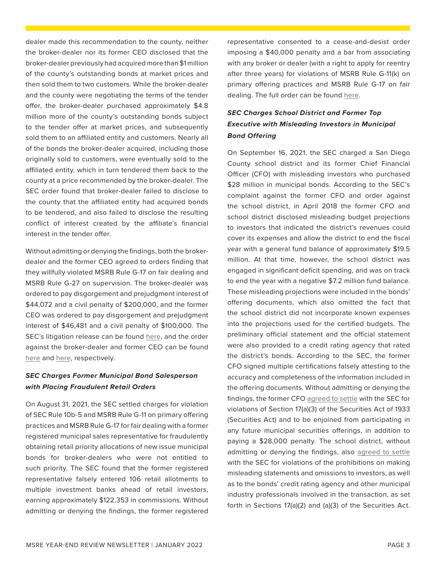dealer made this recommendation to the county, neither the broker-dealer nor its former CEO disclosed that the broker-dealer previously had acquired more than \$1 million of the county's outstanding bonds at market prices and then sold them to two customers. While the broker-dealer and the county were negotiating the terms of the tender offer, the broker-dealer purchased approximately \$4.8 million more of the county's outstanding bonds subject to the tender offer at market prices, and subsequently sold them to an affiliated entity and customers. Nearly all of the bonds the broker-dealer acquired, including those originally sold to customers, were eventually sold to the affiliated entity, which in turn tendered them back to the county at a price recommended by the broker-dealer. The SEC order found that broker-dealer failed to disclose to the county that the affiliated entity had acquired bonds to be tendered, and also failed to disclose the resulting conflict of interest created by the affiliate's financial interest in the tender offer.

Without admitting or denying the findings, both the brokerdealer and the former CEO agreed to orders finding that they willfully violated MSRB Rule G-17 on fair dealing and MSRB Rule G-27 on supervision. The broker-dealer was ordered to pay disgorgement and prejudgment interest of \$44,072 and a civil penalty of \$200,000, and the former CEO was ordered to pay disgorgement and prejudgment interest of \$46,481 and a civil penalty of \$100,000. The SEC's litigation release can be found [here,](https://www.sec.gov/news/press-release/2021-166) and the order against the broker-dealer and former CEO can be found [here](https://www.sec.gov/litigation/admin/2021/34-92768.pdf) and [here](https://www.sec.gov/litigation/admin/2021/34-92769.pdf), respectively.

## *SEC Charges Former Municipal Bond Salesperson with Placing Fraudulent Retail Orders*

On August 31, 2021, the SEC settled charges for violation of SEC Rule 10b-5 and MSRB Rule G-11 on primary offering practices and MSRB Rule G-17 for fair dealing with a former registered municipal sales representative for fraudulently obtaining retail priority allocations of new issue municipal bonds for broker-dealers who were not entitled to such priority. The SEC found that the former registered representative falsely entered 106 retail allotments to multiple investment banks ahead of retail investors, earning approximately \$122,353 in commissions. Without admitting or denying the findings, the former registered

representative consented to a cease-and-desist order imposing a \$40,000 penalty and a bar from associating with any broker or dealer (with a right to apply for reentry after three years) for violations of MSRB Rule G-11(k) on primary offering practices and MSRB Rule G-17 on fair dealing. The full order can be found [here.](https://www.sec.gov/litigation/admin/2021/33-10972.pdf)

# *SEC Charges School District and Former Top Executive with Misleading Investors in Municipal Bond Offering*

On September 16, 2021, the SEC charged a San Diego County school district and its former Chief Financial Officer (CFO) with misleading investors who purchased \$28 million in municipal bonds. According to the SEC's complaint against the former CFO and order against the school district, in April 2018 the former CFO and school district disclosed misleading budget projections to investors that indicated the district's revenues could cover its expenses and allow the district to end the fiscal year with a general fund balance of approximately \$19.5 million. At that time, however, the school district was engaged in significant deficit spending, and was on track to end the year with a negative \$7.2 million fund balance. These misleading projections were included in the bonds' offering documents, which also omitted the fact that the school district did not incorporate known expenses into the projections used for the certified budgets. The preliminary official statement and the official statement were also provided to a credit rating agency that rated the district's bonds. According to the SEC, the former CFO signed multiple certifications falsely attesting to the accuracy and completeness of the information included in the offering documents. Without admitting or denying the findings, the former CFO [agreed to settle](https://www.sec.gov/litigation/complaints/2021/comp-pr2021-178.pdf) with the SEC for violations of Section 17(a)(3) of the Securities Act of 1933 (Securities Act) and to be enjoined from participating in any future municipal securities offerings, in addition to paying a \$28,000 penalty. The school district, without admitting or denying the findings, also [agreed to settle](https://www.sec.gov/litigation/admin/2021/33-10981.pdf) with the SEC for violations of the prohibitions on making misleading statements and omissions to investors, as well as to the bonds' credit rating agency and other municipal industry professionals involved in the transaction, as set forth in Sections 17(a)(2) and (a)(3) of the Securities Act.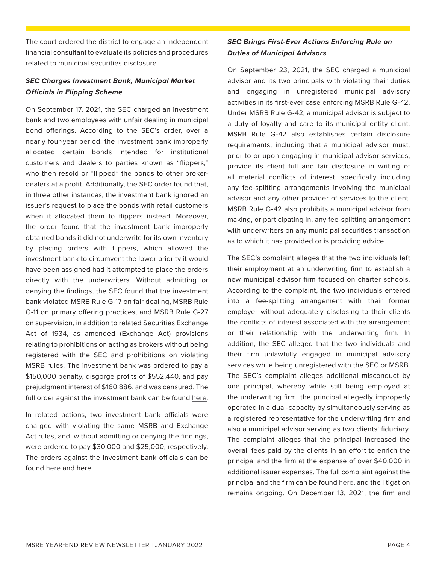The court ordered the district to engage an independent financial consultant to evaluate its policies and procedures related to municipal securities disclosure.

## *SEC Charges Investment Bank, Municipal Market Officials in Flipping Scheme*

On September 17, 2021, the SEC charged an investment bank and two employees with unfair dealing in municipal bond offerings. According to the SEC's order, over a nearly four-year period, the investment bank improperly allocated certain bonds intended for institutional customers and dealers to parties known as "flippers," who then resold or "flipped" the bonds to other brokerdealers at a profit. Additionally, the SEC order found that, in three other instances, the investment bank ignored an issuer's request to place the bonds with retail customers when it allocated them to flippers instead. Moreover, the order found that the investment bank improperly obtained bonds it did not underwrite for its own inventory by placing orders with flippers, which allowed the investment bank to circumvent the lower priority it would have been assigned had it attempted to place the orders directly with the underwriters. Without admitting or denying the findings, the SEC found that the investment bank violated MSRB Rule G-17 on fair dealing, MSRB Rule G-11 on primary offering practices, and MSRB Rule G-27 on supervision, in addition to related Securities Exchange Act of 1934, as amended (Exchange Act) provisions relating to prohibitions on acting as brokers without being registered with the SEC and prohibitions on violating MSRB rules. The investment bank was ordered to pay a \$150,000 penalty, disgorge profits of \$552,440, and pay prejudgment interest of \$160,886, and was censured. The full order against the investment bank can be found [here](https://www.sec.gov/litigation/admin/2021/34-93042.pdf).

In related actions, two investment bank officials were charged with violating the same MSRB and Exchange Act rules, and, without admitting or denying the findings, were ordered to pay \$30,000 and \$25,000, respectively. The orders against the investment bank officials can be found [here](https://www.sec.gov/litigation/admin/2021/34-93043.pdf) and [here](https://www.sec.gov/litigation/admin/2021/34-93044.pdf).

## *SEC Brings First-Ever Actions Enforcing Rule on Duties of Municipal Advisors*

On September 23, 2021, the SEC charged a municipal advisor and its two principals with violating their duties and engaging in unregistered municipal advisory activities in its first-ever case enforcing MSRB Rule G-42. Under MSRB Rule G-42, a municipal advisor is subject to a duty of loyalty and care to its municipal entity client. MSRB Rule G-42 also establishes certain disclosure requirements, including that a municipal advisor must, prior to or upon engaging in municipal advisor services, provide its client full and fair disclosure in writing of all material conflicts of interest, specifically including any fee-splitting arrangements involving the municipal advisor and any other provider of services to the client. MSRB Rule G-42 also prohibits a municipal advisor from making, or participating in, any fee-splitting arrangement with underwriters on any municipal securities transaction as to which it has provided or is providing advice.

The SEC's complaint alleges that the two individuals left their employment at an underwriting firm to establish a new municipal advisor firm focused on charter schools. According to the complaint, the two individuals entered into a fee-splitting arrangement with their former employer without adequately disclosing to their clients the conflicts of interest associated with the arrangement or their relationship with the underwriting firm. In addition, the SEC alleged that the two individuals and their firm unlawfully engaged in municipal advisory services while being unregistered with the SEC or MSRB. The SEC's complaint alleges additional misconduct by one principal, whereby while still being employed at the underwriting firm, the principal allegedly improperly operated in a dual-capacity by simultaneously serving as a registered representative for the underwriting firm and also a municipal advisor serving as two clients' fiduciary. The complaint alleges that the principal increased the overall fees paid by the clients in an effort to enrich the principal and the firm at the expense of over \$40,000 in additional issuer expenses. The full complaint against the principal and the firm can be found [here,](https://www.sec.gov/litigation/complaints/2021/comp-pr2021-188.pdf) and the litigation remains ongoing. On December 13, 2021, the firm and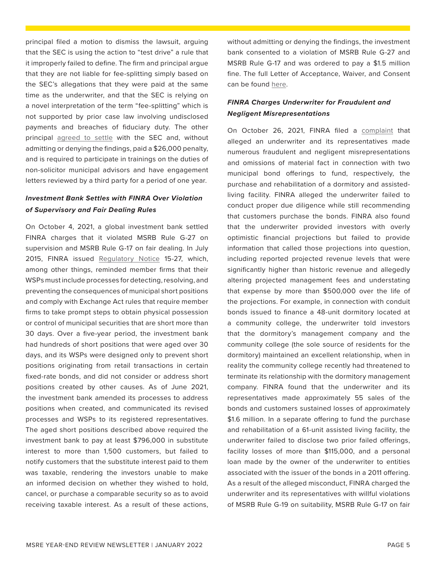principal filed a motion to dismiss the lawsuit, arguing that the SEC is using the action to "test drive" a rule that it improperly failed to define. The firm and principal argue that they are not liable for fee-splitting simply based on the SEC's allegations that they were paid at the same time as the underwriter, and that the SEC is relying on a novel interpretation of the term "fee-splitting" which is not supported by prior case law involving undisclosed payments and breaches of fiduciary duty. The other principal [agreed to settle](https://www.sec.gov/litigation/admin/2021/34-93105.pdf) with the SEC and, without admitting or denying the findings, paid a \$26,000 penalty, and is required to participate in trainings on the duties of non-solicitor municipal advisors and have engagement letters reviewed by a third party for a period of one year.

## *Investment Bank Settles with FINRA Over Violation of Supervisory and Fair Dealing Rules*

On October 4, 2021, a global investment bank settled FINRA charges that it violated MSRB Rule G-27 on supervision and MSRB Rule G-17 on fair dealing. In July 2015, FINRA issued [Regulatory Notice](https://www.finra.org/sites/default/files/notice_doc_file_ref/Notice_Regulatory_15-27.pdf) 15-27, which, among other things, reminded member firms that their WSPs must include processes for detecting, resolving, and preventing the consequences of municipal short positions and comply with Exchange Act rules that require member firms to take prompt steps to obtain physical possession or control of municipal securities that are short more than 30 days. Over a five-year period, the investment bank had hundreds of short positions that were aged over 30 days, and its WSPs were designed only to prevent short positions originating from retail transactions in certain fixed-rate bonds, and did not consider or address short positions created by other causes. As of June 2021, the investment bank amended its processes to address positions when created, and communicated its revised processes and WSPs to its registered representatives. The aged short positions described above required the investment bank to pay at least \$796,000 in substitute interest to more than 1,500 customers, but failed to notify customers that the substitute interest paid to them was taxable, rendering the investors unable to make an informed decision on whether they wished to hold, cancel, or purchase a comparable security so as to avoid receiving taxable interest. As a result of these actions, without admitting or denying the findings, the investment bank consented to a violation of MSRB Rule G-27 and MSRB Rule G-17 and was ordered to pay a \$1.5 million fine. The full Letter of Acceptance, Waiver, and Consent can be found [here](https://www.finra.org/sites/default/files/fda_documents/2016050801701%20Merrill%20Lynch%2C%20Pierce%2C%20Fenner%20%26%20Smith%20Incorporated%20CRD%207691%20AWC%20sl.pdf).

# *FINRA Charges Underwriter for Fraudulent and Negligent Misrepresentations*

On October 26, 2021, FINRA filed a [complaint](https://www.finra.org/sites/default/files/fda_documents/2017055886402%20Cantone%20Research%20Inc.%20CRD%2026314%2C%20et%20al%2C%20Complaint%20jlg.pdf) that alleged an underwriter and its representatives made numerous fraudulent and negligent misrepresentations and omissions of material fact in connection with two municipal bond offerings to fund, respectively, the purchase and rehabilitation of a dormitory and assistedliving facility. FINRA alleged the underwriter failed to conduct proper due diligence while still recommending that customers purchase the bonds. FINRA also found that the underwriter provided investors with overly optimistic financial projections but failed to provide information that called those projections into question, including reported projected revenue levels that were significantly higher than historic revenue and allegedly altering projected management fees and understating that expense by more than \$500,000 over the life of the projections. For example, in connection with conduit bonds issued to finance a 48-unit dormitory located at a community college, the underwriter told investors that the dormitory's management company and the community college (the sole source of residents for the dormitory) maintained an excellent relationship, when in reality the community college recently had threatened to terminate its relationship with the dormitory management company. FINRA found that the underwriter and its representatives made approximately 55 sales of the bonds and customers sustained losses of approximately \$1.6 million. In a separate offering to fund the purchase and rehabilitation of a 61-unit assisted living facility, the underwriter failed to disclose two prior failed offerings, facility losses of more than \$115,000, and a personal loan made by the owner of the underwriter to entities associated with the issuer of the bonds in a 2011 offering. As a result of the alleged misconduct, FINRA charged the underwriter and its representatives with willful violations of MSRB Rule G-19 on suitability, MSRB Rule G-17 on fair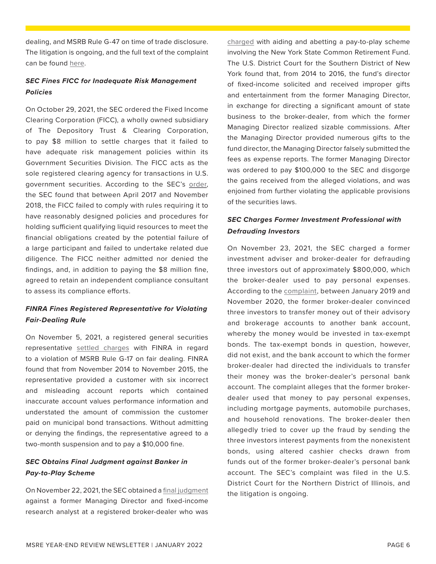dealing, and MSRB Rule G-47 on time of trade disclosure. The litigation is ongoing, and the full text of the complaint can be found [here.](https://www.finra.org/sites/default/files/fda_documents/2017055886402%20Cantone%20Research%20Inc.%20CRD%2026314%2C%20et%20al%2C%20Complaint%20jlg.pdf)

## *SEC Fines FICC for Inadequate Risk Management Policies*

On October 29, 2021, the SEC ordered the Fixed Income Clearing Corporation (FICC), a wholly owned subsidiary of The Depository Trust & Clearing Corporation, to pay \$8 million to settle charges that it failed to have adequate risk management policies within its Government Securities Division. The FICC acts as the sole registered clearing agency for transactions in U.S. government securities. According to the SEC's [order](https://www.sec.gov/litigation/admin/2021/34-93458.pdf), the SEC found that between April 2017 and November 2018, the FICC failed to comply with rules requiring it to have reasonably designed policies and procedures for holding sufficient qualifying liquid resources to meet the financial obligations created by the potential failure of a large participant and failed to undertake related due diligence. The FICC neither admitted nor denied the findings, and, in addition to paying the \$8 million fine, agreed to retain an independent compliance consultant to assess its compliance efforts.

# *FINRA Fines Registered Representative for Violating Fair-Dealing Rule*

On November 5, 2021, a registered general securities representative [settled charges](https://www.finra.org/sites/default/files/fda_documents/2018057692701%20Antoine%20Nabih%20Souma%20CRD%204210987%20AWC%20jlg.pdf) with FINRA in regard to a violation of MSRB Rule G-17 on fair dealing. FINRA found that from November 2014 to November 2015, the representative provided a customer with six incorrect and misleading account reports which contained inaccurate account values performance information and understated the amount of commission the customer paid on municipal bond transactions. Without admitting or denying the findings, the representative agreed to a two-month suspension and to pay a \$10,000 fine.

# *SEC Obtains Final Judgment against Banker in Pay-to-Play Scheme*

On November 22, 2021, the SEC obtained a [final judgment](https://www.sec.gov/litigation/litreleases/2021/judgment25267.pdf) against a former Managing Director and fixed-income research analyst at a registered broker-dealer who was

[charged](https://www.sec.gov/litigation/complaints/2018/comp24218.pdf) with aiding and abetting a pay-to-play scheme involving the New York State Common Retirement Fund. The U.S. District Court for the Southern District of New York found that, from 2014 to 2016, the fund's director of fixed-income solicited and received improper gifts and entertainment from the former Managing Director, in exchange for directing a significant amount of state business to the broker-dealer, from which the former Managing Director realized sizable commissions. After the Managing Director provided numerous gifts to the fund director, the Managing Director falsely submitted the fees as expense reports. The former Managing Director was ordered to pay \$100,000 to the SEC and disgorge the gains received from the alleged violations, and was enjoined from further violating the applicable provisions of the securities laws.

# *SEC Charges Former Investment Professional with Defrauding Investors*

On November 23, 2021, the SEC charged a former investment adviser and broker-dealer for defrauding three investors out of approximately \$800,000, which the broker-dealer used to pay personal expenses. According to the [complaint](https://www.sec.gov/litigation/complaints/2021/comp25270.pdf), between January 2019 and November 2020, the former broker-dealer convinced three investors to transfer money out of their advisory and brokerage accounts to another bank account, whereby the money would be invested in tax-exempt bonds. The tax-exempt bonds in question, however, did not exist, and the bank account to which the former broker-dealer had directed the individuals to transfer their money was the broker-dealer's personal bank account. The complaint alleges that the former brokerdealer used that money to pay personal expenses, including mortgage payments, automobile purchases, and household renovations. The broker-dealer then allegedly tried to cover up the fraud by sending the three investors interest payments from the nonexistent bonds, using altered cashier checks drawn from funds out of the former broker-dealer's personal bank account. The SEC's complaint was filed in the U.S. District Court for the Northern District of Illinois, and the litigation is ongoing.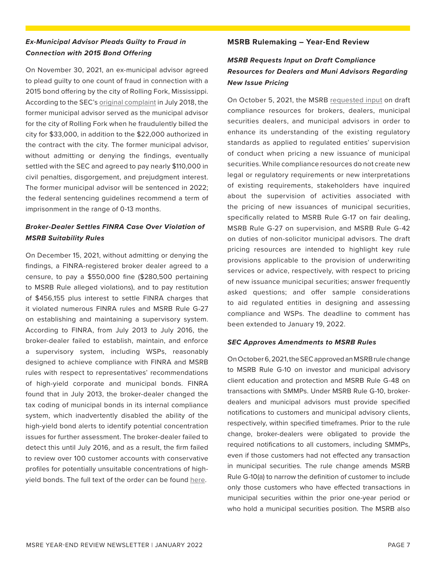## <span id="page-6-0"></span>*Ex-Municipal Advisor Pleads Guilty to Fraud in Connection with 2015 Bond Offering*

On November 30, 2021, an ex-municipal advisor agreed to plead guilty to one count of fraud in connection with a 2015 bond offering by the city of Rolling Fork, Mississippi. According to the SEC's [original complaint](https://www.sec.gov/litigation/admin/2018/34-83608.pdf) in July 2018, the former municipal advisor served as the municipal advisor for the city of Rolling Fork when he fraudulently billed the city for \$33,000, in addition to the \$22,000 authorized in the contract with the city. The former municipal advisor, without admitting or denying the findings, eventually settled with the SEC and agreed to pay nearly \$110,000 in civil penalties, disgorgement, and prejudgment interest. The former municipal advisor will be sentenced in 2022; the federal sentencing guidelines recommend a term of imprisonment in the range of 0-13 months.

# *Broker-Dealer Settles FINRA Case Over Violation of MSRB Suitability Rules*

On December 15, 2021, without admitting or denying the findings, a FINRA-registered broker dealer agreed to a censure, to pay a \$550,000 fine (\$280,500 pertaining to MSRB Rule alleged violations), and to pay restitution of \$456,155 plus interest to settle FINRA charges that it violated numerous FINRA rules and MSRB Rule G-27 on establishing and maintaining a supervisory system. According to FINRA, from July 2013 to July 2016, the broker-dealer failed to establish, maintain, and enforce a supervisory system, including WSPs, reasonably designed to achieve compliance with FINRA and MSRB rules with respect to representatives' recommendations of high-yield corporate and municipal bonds. FINRA found that in July 2013, the broker-dealer changed the tax coding of municipal bonds in its internal compliance system, which inadvertently disabled the ability of the high-yield bond alerts to identify potential concentration issues for further assessment. The broker-dealer failed to detect this until July 2016, and as a result, the firm failed to review over 100 customer accounts with conservative profiles for potentially unsuitable concentrations of highyield bonds. The full text of the order can be found [here.](https://www.finra.org/sites/default/files/fda_documents/2017054432703%20RBC%20Capital%20Markets%2C%20LLC%20CRD%2031194%20AWC%20DM.pdf)

## **MSRB Rulemaking – Year-End Review**

# *MSRB Requests Input on Draft Compliance Resources for Dealers and Muni Advisors Regarding New Issue Pricing*

On October 5, 2021, the MSRB [requested input](https://www.msrb.org/-/media/Files/Regulatory-Notices/RFCs/2021-12.ashx??n=1) on draft compliance resources for brokers, dealers, municipal securities dealers, and municipal advisors in order to enhance its understanding of the existing regulatory standards as applied to regulated entities' supervision of conduct when pricing a new issuance of municipal securities. While compliance resources do not create new legal or regulatory requirements or new interpretations of existing requirements, stakeholders have inquired about the supervision of activities associated with the pricing of new issuances of municipal securities, specifically related to MSRB Rule G-17 on fair dealing, MSRB Rule G-27 on supervision, and MSRB Rule G-42 on duties of non-solicitor municipal advisors. The draft pricing resources are intended to highlight key rule provisions applicable to the provision of underwriting services or advice, respectively, with respect to pricing of new issuance municipal securities; answer frequently asked questions; and offer sample considerations to aid regulated entities in designing and assessing compliance and WSPs. The deadline to comment has been extended to January 19, 2022.

## *SEC Approves Amendments to MSRB Rules*

On October 6, 2021, the SEC approved an MSRB rule change to MSRB Rule G-10 on investor and municipal advisory client education and protection and MSRB Rule G-48 on transactions with SMMPs. Under MSRB Rule G-10, brokerdealers and municipal advisors must provide specified notifications to customers and municipal advisory clients, respectively, within specified timeframes. Prior to the rule change, broker-dealers were obligated to provide the required notifications to all customers, including SMMPs, even if those customers had not effected any transaction in municipal securities. The rule change amends MSRB Rule G-10(a) to narrow the definition of customer to include only those customers who have effected transactions in municipal securities within the prior one-year period or who hold a municipal securities position. The MSRB also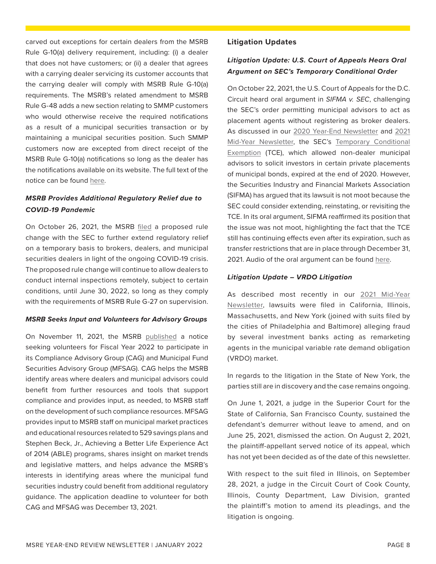<span id="page-7-0"></span>carved out exceptions for certain dealers from the MSRB Rule G-10(a) delivery requirement, including: (i) a dealer that does not have customers; or (ii) a dealer that agrees with a carrying dealer servicing its customer accounts that the carrying dealer will comply with MSRB Rule G-10(a) requirements. The MSRB's related amendment to MSRB Rule G-48 adds a new section relating to SMMP customers who would otherwise receive the required notifications as a result of a municipal securities transaction or by maintaining a municipal securities position. Such SMMP customers now are excepted from direct receipt of the MSRB Rule G-10(a) notifications so long as the dealer has the notifications available on its website. The full text of the notice can be found [here.](https://www.msrb.org/-/media/Files/Regulatory-Notices/Announcements/2021-13.ashx??n=1)

## *MSRB Provides Additional Regulatory Relief due to COVID-19 Pandemic*

On October 26, 2021, the MSRB [filed](https://www.msrb.org/-/media/Files/Regulatory-Notices/Announcements/2021-14.ashx??n=1) a proposed rule change with the SEC to further extend regulatory relief on a temporary basis to brokers, dealers, and municipal securities dealers in light of the ongoing COVID-19 crisis. The proposed rule change will continue to allow dealers to conduct internal inspections remotely, subject to certain conditions, until June 30, 2022, so long as they comply with the requirements of MSRB Rule G-27 on supervision.

## *MSRB Seeks Input and Volunteers for Advisory Groups*

On November 11, 2021, the MSRB [published](https://www.msrb.org/-/media/Files/Regulatory-Notices/Announcements/2021-15.ashx??n=1) a notice seeking volunteers for Fiscal Year 2022 to participate in its Compliance Advisory Group (CAG) and Municipal Fund Securities Advisory Group (MFSAG). CAG helps the MSRB identify areas where dealers and municipal advisors could benefit from further resources and tools that support compliance and provides input, as needed, to MSRB staff on the development of such compliance resources. MFSAG provides input to MSRB staff on municipal market practices and educational resources related to 529 savings plans and Stephen Beck, Jr., Achieving a Better Life Experience Act of 2014 (ABLE) programs, shares insight on market trends and legislative matters, and helps advance the MSRB's interests in identifying areas where the municipal fund securities industry could benefit from additional regulatory guidance. The application deadline to volunteer for both CAG and MFSAG was December 13, 2021.

## **Litigation Updates**

# *Litigation Update: U.S. Court of Appeals Hears Oral Argument on SEC's Temporary Conditional Order*

On October 22, 2021, the U.S. Court of Appeals for the D.C. Circuit heard oral argument in *SIFMA v. SEC*, challenging the SEC's order permitting municipal advisors to act as placement agents without registering as broker dealers. As discussed in our [2020 Year-End Newsletter](https://www.ballardspahr.com/-/jssmedia/Main/Newsletters/Municipal-Market-Enforcement---01-27-21.pdf?rev=906138a1a32b41ae88d41caf4c71567d&hash=91F83FA5540051B207A9331CB6291F2F) and [2021](https://www.ballardspahr.com/-/jssmedia/Main/Newsletters/Municipal-Market-Enforcement---07-21.pdf) [Mid-Year Newsletter,](https://www.ballardspahr.com/-/jssmedia/Main/Newsletters/Municipal-Market-Enforcement---07-21.pdf) the SEC's [Temporary Conditional](https://www.sec.gov/rules/exorders/2020/34-89074.pdf) [Exemption](https://www.sec.gov/rules/exorders/2020/34-89074.pdf) (TCE), which allowed non-dealer municipal advisors to solicit investors in certain private placements of municipal bonds, expired at the end of 2020. However, the Securities Industry and Financial Markets Association (SIFMA) has argued that its lawsuit is not moot because the SEC could consider extending, reinstating, or revisiting the TCE. In its oral argument, SIFMA reaffirmed its position that the issue was not moot, highlighting the fact that the TCE still has continuing effects even after its expiration, such as transfer restrictions that are in place through December 31, 2021. Audio of the oral argument can be found [here](https://www.cadc.uscourts.gov/recordings/recordings2021.nsf/8FC6C3179D6935358525877600543105/$file/20-1306.mp3).

## *Litigation Update – VRDO Litigation*

As described most recently in our 2021 Mid-Year [Newsletter](https://www.ballardspahr.com/-/jssmedia/Main/Newsletters/Municipal-Market-Enforcement---07-21.pdf), lawsuits were filed in California, Illinois, Massachusetts, and New York (joined with suits filed by the cities of Philadelphia and Baltimore) alleging fraud by several investment banks acting as remarketing agents in the municipal variable rate demand obligation (VRDO) market.

In regards to the litigation in the State of New York, the parties still are in discovery and the case remains ongoing.

On June 1, 2021, a judge in the Superior Court for the State of California, San Francisco County, sustained the defendant's demurrer without leave to amend, and on June 25, 2021, dismissed the action. On August 2, 2021, the plaintiff-appellant served notice of its appeal, which has not yet been decided as of the date of this newsletter.

With respect to the suit filed in Illinois, on September 28, 2021, a judge in the Circuit Court of Cook County, Illinois, County Department, Law Division, granted the plaintiff's motion to amend its pleadings, and the litigation is ongoing.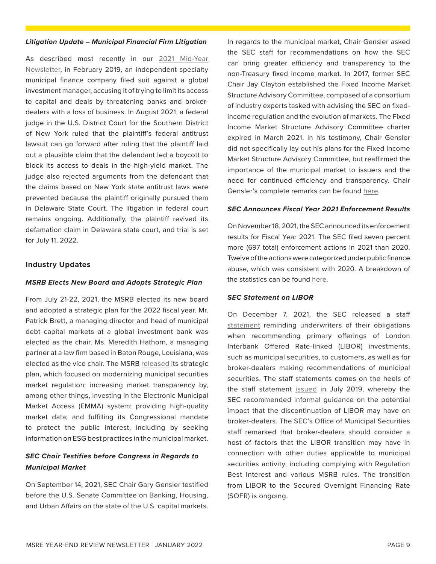#### <span id="page-8-0"></span>*Litigation Update – Municipal Financial Firm Litigation*

As described most recently in our [2021 Mid-Year](https://www.ballardspahr.com/-/jssmedia/Main/Newsletters/Municipal-Market-Enforcement---07-21.pdf) [Newsletter,](https://www.ballardspahr.com/-/jssmedia/Main/Newsletters/Municipal-Market-Enforcement---07-21.pdf) in February 2019, an independent specialty municipal finance company filed suit against a global investment manager, accusing it of trying to limit its access to capital and deals by threatening banks and brokerdealers with a loss of business. In August 2021, a federal judge in the U.S. District Court for the Southern District of New York ruled that the plaintiff's federal antitrust lawsuit can go forward after ruling that the plaintiff laid out a plausible claim that the defendant led a boycott to block its access to deals in the high-yield market. The judge also rejected arguments from the defendant that the claims based on New York state antitrust laws were prevented because the plaintiff originally pursued them in Delaware State Court. The litigation in federal court remains ongoing. Additionally, the plaintiff revived its defamation claim in Delaware state court, and trial is set for July 11, 2022.

## **Industry Updates**

## *MSRB Elects New Board and Adopts Strategic Plan*

From July 21-22, 2021, the MSRB elected its new board and adopted a strategic plan for the 2022 fiscal year. Mr. Patrick Brett, a managing director and head of municipal debt capital markets at a global investment bank was elected as the chair. Ms. Meredith Hathorn, a managing partner at a law firm based in Baton Rouge, Louisiana, was elected as the vice chair. The MSRB [released](https://msrb.org/-/media/Files/Resources/MSRB-Strategic-Plan-2022-2025.ashx) its strategic plan, which focused on modernizing municipal securities market regulation; increasing market transparency by, among other things, investing in the Electronic Municipal Market Access (EMMA) system; providing high-quality market data; and fulfilling its Congressional mandate to protect the public interest, including by seeking information on ESG best practices in the municipal market.

## *SEC Chair Testifies before Congress in Regards to Municipal Market*

On September 14, 2021, SEC Chair Gary Gensler testified before the U.S. Senate Committee on Banking, Housing, and Urban Affairs on the state of the U.S. capital markets. In regards to the municipal market, Chair Gensler asked the SEC staff for recommendations on how the SEC can bring greater efficiency and transparency to the non-Treasury fixed income market. In 2017, former SEC Chair Jay Clayton established the Fixed Income Market Structure Advisory Committee, composed of a consortium of industry experts tasked with advising the SEC on fixedincome regulation and the evolution of markets. The Fixed Income Market Structure Advisory Committee charter expired in March 2021. In his testimony, Chair Gensler did not specifically lay out his plans for the Fixed Income Market Structure Advisory Committee, but reaffirmed the importance of the municipal market to issuers and the need for continued efficiency and transparency. Chair Gensler's complete remarks can be found [here](https://www.banking.senate.gov/imo/media/doc/Gensler%20Testimony%209-14-21.pdf).

#### *SEC Announces Fiscal Year 2021 Enforcement Results*

On November 18, 2021, the SEC announced its enforcement results for Fiscal Year 2021. The SEC filed seven percent more (697 total) enforcement actions in 2021 than 2020. Twelve of the actions were categorized under public finance abuse, which was consistent with 2020. A breakdown of the statistics can be found [here](https://www.sec.gov/files/2021-238-addendum.pdf).

## *SEC Statement on LIBOR*

On December 7, 2021, the SEC released a staff [statement](https://www.sec.gov/news/statement/staff-statement-libor-transition-20211207) reminding underwriters of their obligations when recommending primary offerings of London Interbank Offered Rate-linked (LIBOR) investments, such as municipal securities, to customers, as well as for broker-dealers making recommendations of municipal securities. The staff statements comes on the heels of the staff statement [issued](https://www.sec.gov/news/public-statement/libor-transition) in July 2019, whereby the SEC recommended informal guidance on the potential impact that the discontinuation of LIBOR may have on broker-dealers. The SEC's Office of Municipal Securities staff remarked that broker-dealers should consider a host of factors that the LIBOR transition may have in connection with other duties applicable to municipal securities activity, including complying with Regulation Best Interest and various MSRB rules. The transition from LIBOR to the Secured Overnight Financing Rate (SOFR) is ongoing.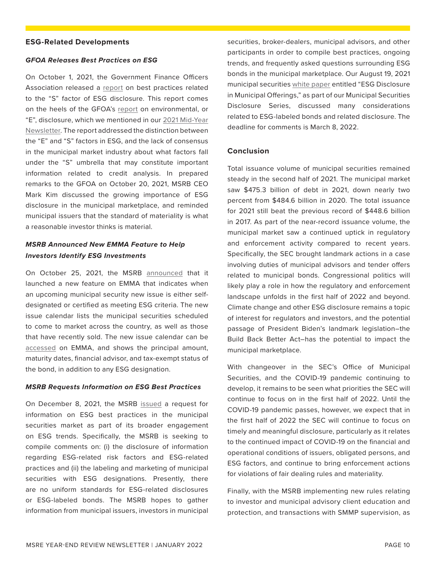#### <span id="page-9-0"></span>**ESG-Related Developments**

#### *GFOA Releases Best Practices on ESG*

On October 1, 2021, the Government Finance Officers Association released a [report](https://www.gfoa.org/materials/esg-best-practice-s-social) on best practices related to the "S" factor of ESG disclosure. This report comes on the heels of the GFOA's [report](https://www.gfoa.org/materials/esg-disclosure) on environmental, or "E", disclosure, which we mentioned in our [2021 Mid-Year](https://www.ballardspahr.com/-/media/Main/Newsletters/Municipal-Market-Enforcement---07-21.pdf?rev=6df78026af1d4b88848f95fd8faaa45f) [Newsletter.](https://www.ballardspahr.com/-/media/Main/Newsletters/Municipal-Market-Enforcement---07-21.pdf?rev=6df78026af1d4b88848f95fd8faaa45f) The report addressed the distinction between the "E" and "S" factors in ESG, and the lack of consensus in the municipal market industry about what factors fall under the "S" umbrella that may constitute important information related to credit analysis. In prepared remarks to the GFOA on October 20, 2021, MSRB CEO Mark Kim discussed the growing importance of ESG disclosure in the municipal marketplace, and reminded municipal issuers that the standard of materiality is what a reasonable investor thinks is material.

## *MSRB Announced New EMMA Feature to Help Investors Identify ESG Investments*

On October 25, 2021, the MSRB [announced](https://www.msrb.org/News-and-Events/Press-Releases/2021/EMMA-ESG-Indicator) that it launched a new feature on EMMA that indicates when an upcoming municipal security new issue is either selfdesignated or certified as meeting ESG criteria. The new issue calendar lists the municipal securities scheduled to come to market across the country, as well as those that have recently sold. The new issue calendar can be [accessed](https://emma.msrb.org/ToolsAndResources/NewIssueCalendar) on EMMA, and shows the principal amount, maturity dates, financial advisor, and tax-exempt status of the bond, in addition to any ESG designation.

#### *MSRB Requests Information on ESG Best Practices*

On December 8, 2021, the MSRB [issued](https://www.msrb.org/-/media/Files/Regulatory-Notices/RFCs/2021-17.ashx??n=1) a request for information on ESG best practices in the municipal securities market as part of its broader engagement on ESG trends. Specifically, the MSRB is seeking to compile comments on: (i) the disclosure of information regarding ESG-related risk factors and ESG-related practices and (ii) the labeling and marketing of municipal securities with ESG designations. Presently, there are no uniform standards for ESG-related disclosures or ESG-labeled bonds. The MSRB hopes to gather information from municipal issuers, investors in municipal

securities, broker-dealers, municipal advisors, and other participants in order to compile best practices, ongoing trends, and frequently asked questions surrounding ESG bonds in the municipal marketplace. Our August 19, 2021 municipal securities [white paper](https://www.ballardspahr.com/-/jssmedia/Main/Articles/ESG-Disclosure-in-Municipal-Offerings.pdf?rev=074ba0af1a0e4b96aaa32dd71261bbb6&hash=C02383D7508EF43FEE7585DC3C4454AA) entitled "ESG Disclosure in Municipal Offerings," as part of our Municipal Securities Disclosure Series, discussed many considerations related to ESG-labeled bonds and related disclosure. The deadline for comments is March 8, 2022.

## **Conclusion**

Total issuance volume of municipal securities remained steady in the second half of 2021. The municipal market saw \$475.3 billion of debt in 2021, down nearly two percent from \$484.6 billion in 2020. The total issuance for 2021 still beat the previous record of \$448.6 billion in 2017. As part of the near-record issuance volume, the municipal market saw a continued uptick in regulatory and enforcement activity compared to recent years. Specifically, the SEC brought landmark actions in a case involving duties of municipal advisors and tender offers related to municipal bonds. Congressional politics will likely play a role in how the regulatory and enforcement landscape unfolds in the first half of 2022 and beyond. Climate change and other ESG disclosure remains a topic of interest for regulators and investors, and the potential passage of President Biden's landmark legislation–the Build Back Better Act–has the potential to impact the municipal marketplace.

With changeover in the SEC's Office of Municipal Securities, and the COVID-19 pandemic continuing to develop, it remains to be seen what priorities the SEC will continue to focus on in the first half of 2022. Until the COVID-19 pandemic passes, however, we expect that in the first half of 2022 the SEC will continue to focus on timely and meaningful disclosure, particularly as it relates to the continued impact of COVID-19 on the financial and operational conditions of issuers, obligated persons, and ESG factors, and continue to bring enforcement actions for violations of fair dealing rules and materiality.

Finally, with the MSRB implementing new rules relating to investor and municipal advisory client education and protection, and transactions with SMMP supervision, as